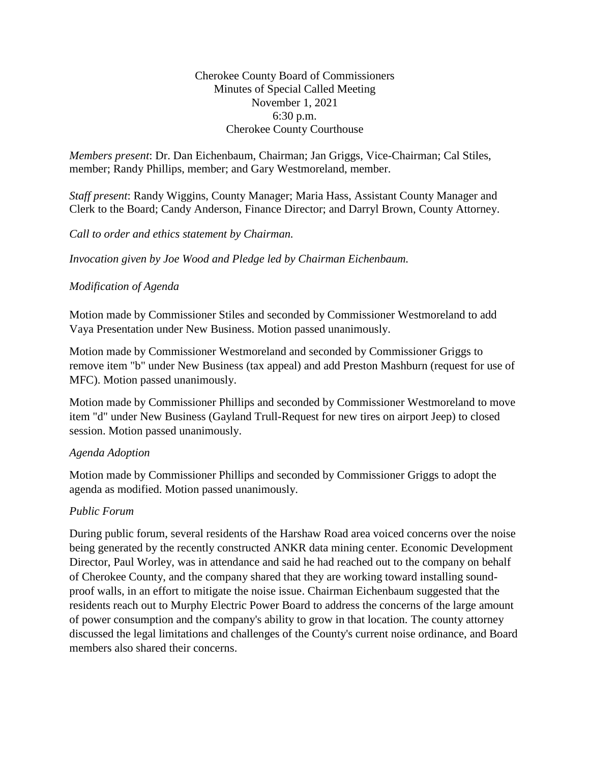#### Cherokee County Board of Commissioners Minutes of Special Called Meeting November 1, 2021 6:30 p.m. Cherokee County Courthouse

*Members present*: Dr. Dan Eichenbaum, Chairman; Jan Griggs, Vice-Chairman; Cal Stiles, member; Randy Phillips, member; and Gary Westmoreland, member.

*Staff present*: Randy Wiggins, County Manager; Maria Hass, Assistant County Manager and Clerk to the Board; Candy Anderson, Finance Director; and Darryl Brown, County Attorney.

*Call to order and ethics statement by Chairman.* 

*Invocation given by Joe Wood and Pledge led by Chairman Eichenbaum.*

# *Modification of Agenda*

Motion made by Commissioner Stiles and seconded by Commissioner Westmoreland to add Vaya Presentation under New Business. Motion passed unanimously.

Motion made by Commissioner Westmoreland and seconded by Commissioner Griggs to remove item "b" under New Business (tax appeal) and add Preston Mashburn (request for use of MFC). Motion passed unanimously.

Motion made by Commissioner Phillips and seconded by Commissioner Westmoreland to move item "d" under New Business (Gayland Trull-Request for new tires on airport Jeep) to closed session. Motion passed unanimously.

#### *Agenda Adoption*

Motion made by Commissioner Phillips and seconded by Commissioner Griggs to adopt the agenda as modified. Motion passed unanimously.

# *Public Forum*

During public forum, several residents of the Harshaw Road area voiced concerns over the noise being generated by the recently constructed ANKR data mining center. Economic Development Director, Paul Worley, was in attendance and said he had reached out to the company on behalf of Cherokee County, and the company shared that they are working toward installing soundproof walls, in an effort to mitigate the noise issue. Chairman Eichenbaum suggested that the residents reach out to Murphy Electric Power Board to address the concerns of the large amount of power consumption and the company's ability to grow in that location. The county attorney discussed the legal limitations and challenges of the County's current noise ordinance, and Board members also shared their concerns.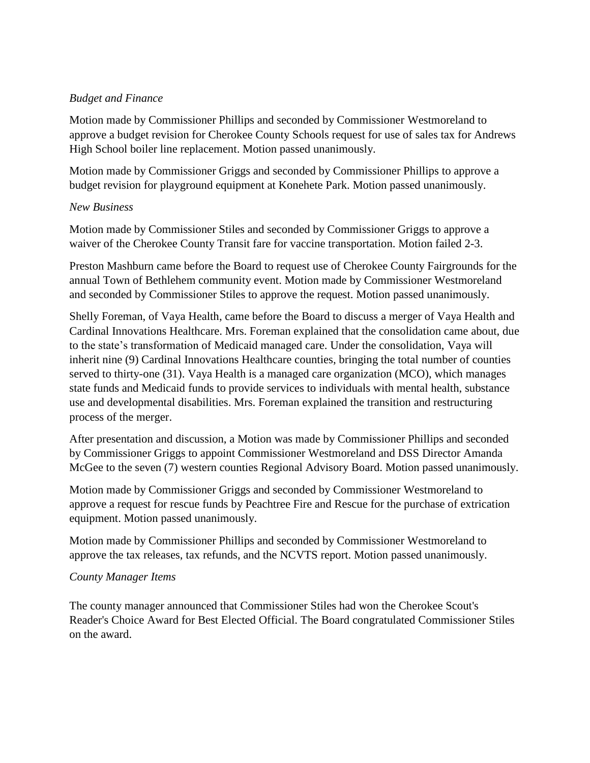# *Budget and Finance*

Motion made by Commissioner Phillips and seconded by Commissioner Westmoreland to approve a budget revision for Cherokee County Schools request for use of sales tax for Andrews High School boiler line replacement. Motion passed unanimously.

Motion made by Commissioner Griggs and seconded by Commissioner Phillips to approve a budget revision for playground equipment at Konehete Park. Motion passed unanimously.

# *New Business*

Motion made by Commissioner Stiles and seconded by Commissioner Griggs to approve a waiver of the Cherokee County Transit fare for vaccine transportation. Motion failed 2-3.

Preston Mashburn came before the Board to request use of Cherokee County Fairgrounds for the annual Town of Bethlehem community event. Motion made by Commissioner Westmoreland and seconded by Commissioner Stiles to approve the request. Motion passed unanimously.

Shelly Foreman, of Vaya Health, came before the Board to discuss a merger of Vaya Health and Cardinal Innovations Healthcare. Mrs. Foreman explained that the consolidation came about, due to the state's transformation of Medicaid managed care. Under the consolidation, Vaya will inherit nine (9) Cardinal Innovations Healthcare counties, bringing the total number of counties served to thirty-one (31). Vaya Health is a managed care organization (MCO), which manages state funds and Medicaid funds to provide services to individuals with mental health, substance use and developmental disabilities. Mrs. Foreman explained the transition and restructuring process of the merger.

After presentation and discussion, a Motion was made by Commissioner Phillips and seconded by Commissioner Griggs to appoint Commissioner Westmoreland and DSS Director Amanda McGee to the seven (7) western counties Regional Advisory Board. Motion passed unanimously.

Motion made by Commissioner Griggs and seconded by Commissioner Westmoreland to approve a request for rescue funds by Peachtree Fire and Rescue for the purchase of extrication equipment. Motion passed unanimously.

Motion made by Commissioner Phillips and seconded by Commissioner Westmoreland to approve the tax releases, tax refunds, and the NCVTS report. Motion passed unanimously.

# *County Manager Items*

The county manager announced that Commissioner Stiles had won the Cherokee Scout's Reader's Choice Award for Best Elected Official. The Board congratulated Commissioner Stiles on the award.